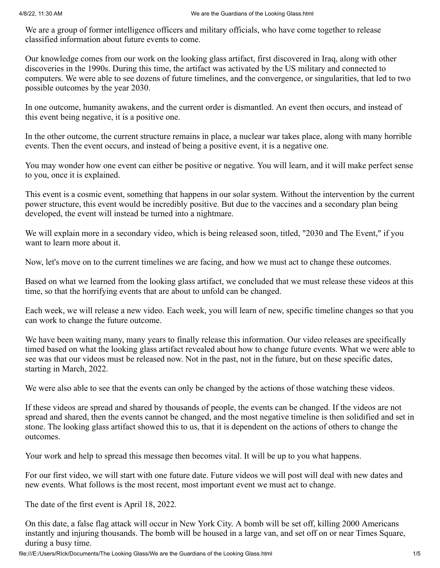We are a group of former intelligence officers and military officials, who have come together to release classified information about future events to come.

Our knowledge comes from our work on the looking glass artifact, first discovered in Iraq, along with other discoveries in the 1990s. During this time, the artifact was activated by the US military and connected to computers. We were able to see dozens of future timelines, and the convergence, or singularities, that led to two possible outcomes by the year 2030.

In one outcome, humanity awakens, and the current order is dismantled. An event then occurs, and instead of this event being negative, it is a positive one.

In the other outcome, the current structure remains in place, a nuclear war takes place, along with many horrible events. Then the event occurs, and instead of being a positive event, it is a negative one.

You may wonder how one event can either be positive or negative. You will learn, and it will make perfect sense to you, once it is explained.

This event is a cosmic event, something that happens in our solar system. Without the intervention by the current power structure, this event would be incredibly positive. But due to the vaccines and a secondary plan being developed, the event will instead be turned into a nightmare.

We will explain more in a secondary video, which is being released soon, titled, "2030 and The Event," if you want to learn more about it.

Now, let's move on to the current timelines we are facing, and how we must act to change these outcomes.

Based on what we learned from the looking glass artifact, we concluded that we must release these videos at this time, so that the horrifying events that are about to unfold can be changed.

Each week, we will release a new video. Each week, you will learn of new, specific timeline changes so that you can work to change the future outcome.

We have been waiting many, many years to finally release this information. Our video releases are specifically timed based on what the looking glass artifact revealed about how to change future events. What we were able to see was that our videos must be released now. Not in the past, not in the future, but on these specific dates, starting in March, 2022.

We were also able to see that the events can only be changed by the actions of those watching these videos.

If these videos are spread and shared by thousands of people, the events can be changed. If the videos are not spread and shared, then the events cannot be changed, and the most negative timeline is then solidified and set in stone. The looking glass artifact showed this to us, that it is dependent on the actions of others to change the outcomes.

Your work and help to spread this message then becomes vital. It will be up to you what happens.

For our first video, we will start with one future date. Future videos we will post will deal with new dates and new events. What follows is the most recent, most important event we must act to change.

The date of the first event is April 18, 2022.

On this date, a false flag attack will occur in New York City. A bomb will be set off, killing 2000 Americans instantly and injuring thousands. The bomb will be housed in a large van, and set off on or near Times Square, during a busy time.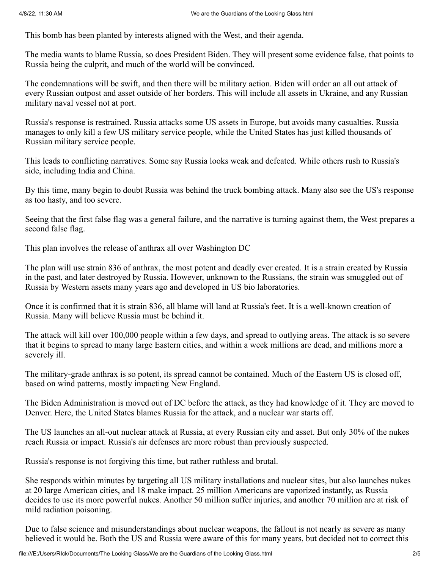This bomb has been planted by interests aligned with the West, and their agenda.

The media wants to blame Russia, so does President Biden. They will present some evidence false, that points to Russia being the culprit, and much of the world will be convinced.

The condemnations will be swift, and then there will be military action. Biden will order an all out attack of every Russian outpost and asset outside of her borders. This will include all assets in Ukraine, and any Russian military naval vessel not at port.

Russia's response is restrained. Russia attacks some US assets in Europe, but avoids many casualties. Russia manages to only kill a few US military service people, while the United States has just killed thousands of Russian military service people.

This leads to conflicting narratives. Some say Russia looks weak and defeated. While others rush to Russia's side, including India and China.

By this time, many begin to doubt Russia was behind the truck bombing attack. Many also see the US's response as too hasty, and too severe.

Seeing that the first false flag was a general failure, and the narrative is turning against them, the West prepares a second false flag.

This plan involves the release of anthrax all over Washington DC

The plan will use strain 836 of anthrax, the most potent and deadly ever created. It is a strain created by Russia in the past, and later destroyed by Russia. However, unknown to the Russians, the strain was smuggled out of Russia by Western assets many years ago and developed in US bio laboratories.

Once it is confirmed that it is strain 836, all blame will land at Russia's feet. It is a well-known creation of Russia. Many will believe Russia must be behind it.

The attack will kill over 100,000 people within a few days, and spread to outlying areas. The attack is so severe that it begins to spread to many large Eastern cities, and within a week millions are dead, and millions more a severely ill.

The military-grade anthrax is so potent, its spread cannot be contained. Much of the Eastern US is closed off, based on wind patterns, mostly impacting New England.

The Biden Administration is moved out of DC before the attack, as they had knowledge of it. They are moved to Denver. Here, the United States blames Russia for the attack, and a nuclear war starts off.

The US launches an all-out nuclear attack at Russia, at every Russian city and asset. But only 30% of the nukes reach Russia or impact. Russia's air defenses are more robust than previously suspected.

Russia's response is not forgiving this time, but rather ruthless and brutal.

She responds within minutes by targeting all US military installations and nuclear sites, but also launches nukes at 20 large American cities, and 18 make impact. 25 million Americans are vaporized instantly, as Russia decides to use its more powerful nukes. Another 50 million suffer injuries, and another 70 million are at risk of mild radiation poisoning.

Due to false science and misunderstandings about nuclear weapons, the fallout is not nearly as severe as many believed it would be. Both the US and Russia were aware of this for many years, but decided not to correct this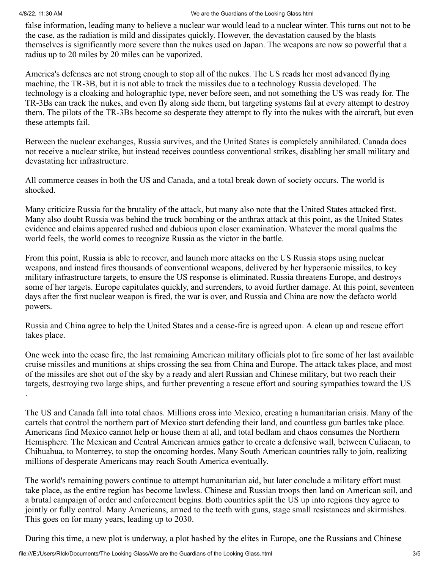.

## 4/8/22, 11:30 AM We are the Guardians of the Looking Glass.html

false information, leading many to believe a nuclear war would lead to a nuclear winter. This turns out not to be the case, as the radiation is mild and dissipates quickly. However, the devastation caused by the blasts themselves is significantly more severe than the nukes used on Japan. The weapons are now so powerful that a radius up to 20 miles by 20 miles can be vaporized.

America's defenses are not strong enough to stop all of the nukes. The US reads her most advanced flying machine, the TR-3B, but it is not able to track the missiles due to a technology Russia developed. The technology is a cloaking and holographic type, never before seen, and not something the US was ready for. The TR-3Bs can track the nukes, and even fly along side them, but targeting systems fail at every attempt to destroy them. The pilots of the TR-3Bs become so desperate they attempt to fly into the nukes with the aircraft, but even these attempts fail.

Between the nuclear exchanges, Russia survives, and the United States is completely annihilated. Canada does not receive a nuclear strike, but instead receives countless conventional strikes, disabling her small military and devastating her infrastructure.

All commerce ceases in both the US and Canada, and a total break down of society occurs. The world is shocked.

Many criticize Russia for the brutality of the attack, but many also note that the United States attacked first. Many also doubt Russia was behind the truck bombing or the anthrax attack at this point, as the United States evidence and claims appeared rushed and dubious upon closer examination. Whatever the moral qualms the world feels, the world comes to recognize Russia as the victor in the battle.

From this point, Russia is able to recover, and launch more attacks on the US Russia stops using nuclear weapons, and instead fires thousands of conventional weapons, delivered by her hypersonic missiles, to key military infrastructure targets, to ensure the US response is eliminated. Russia threatens Europe, and destroys some of her targets. Europe capitulates quickly, and surrenders, to avoid further damage. At this point, seventeen days after the first nuclear weapon is fired, the war is over, and Russia and China are now the defacto world powers.

Russia and China agree to help the United States and a cease-fire is agreed upon. A clean up and rescue effort takes place.

One week into the cease fire, the last remaining American military officials plot to fire some of her last available cruise missiles and munitions at ships crossing the sea from China and Europe. The attack takes place, and most of the missiles are shot out of the sky by a ready and alert Russian and Chinese military, but two reach their targets, destroying two large ships, and further preventing a rescue effort and souring sympathies toward the US

The US and Canada fall into total chaos. Millions cross into Mexico, creating a humanitarian crisis. Many of the cartels that control the northern part of Mexico start defending their land, and countless gun battles take place. Americans find Mexico cannot help or house them at all, and total bedlam and chaos consumes the Northern Hemisphere. The Mexican and Central American armies gather to create a defensive wall, between Culiacan, to Chihuahua, to Monterrey, to stop the oncoming hordes. Many South American countries rally to join, realizing millions of desperate Americans may reach South America eventually.

The world's remaining powers continue to attempt humanitarian aid, but later conclude a military effort must take place, as the entire region has become lawless. Chinese and Russian troops then land on American soil, and a brutal campaign of order and enforcement begins. Both countries split the US up into regions they agree to jointly or fully control. Many Americans, armed to the teeth with guns, stage small resistances and skirmishes. This goes on for many years, leading up to 2030.

During this time, a new plot is underway, a plot hashed by the elites in Europe, one the Russians and Chinese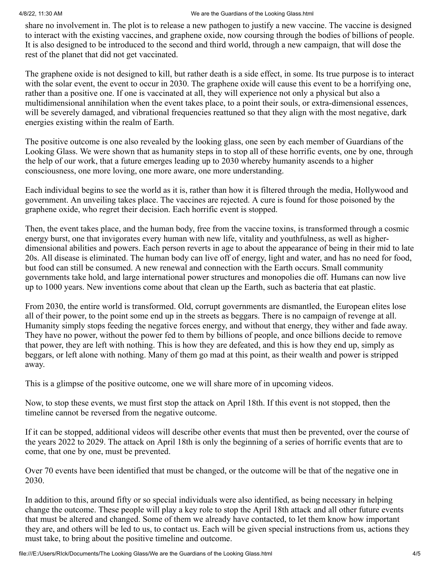share no involvement in. The plot is to release a new pathogen to justify a new vaccine. The vaccine is designed to interact with the existing vaccines, and graphene oxide, now coursing through the bodies of billions of people. It is also designed to be introduced to the second and third world, through a new campaign, that will dose the rest of the planet that did not get vaccinated.

The graphene oxide is not designed to kill, but rather death is a side effect, in some. Its true purpose is to interact with the solar event, the event to occur in 2030. The graphene oxide will cause this event to be a horrifying one, rather than a positive one. If one is vaccinated at all, they will experience not only a physical but also a multidimensional annihilation when the event takes place, to a point their souls, or extra-dimensional essences, will be severely damaged, and vibrational frequencies reattuned so that they align with the most negative, dark energies existing within the realm of Earth.

The positive outcome is one also revealed by the looking glass, one seen by each member of Guardians of the Looking Glass. We were shown that as humanity steps in to stop all of these horrific events, one by one, through the help of our work, that a future emerges leading up to 2030 whereby humanity ascends to a higher consciousness, one more loving, one more aware, one more understanding.

Each individual begins to see the world as it is, rather than how it is filtered through the media, Hollywood and government. An unveiling takes place. The vaccines are rejected. A cure is found for those poisoned by the graphene oxide, who regret their decision. Each horrific event is stopped.

Then, the event takes place, and the human body, free from the vaccine toxins, is transformed through a cosmic energy burst, one that invigorates every human with new life, vitality and youthfulness, as well as higherdimensional abilities and powers. Each person reverts in age to about the appearance of being in their mid to late 20s. All disease is eliminated. The human body can live off of energy, light and water, and has no need for food, but food can still be consumed. A new renewal and connection with the Earth occurs. Small community governments take hold, and large international power structures and monopolies die off. Humans can now live up to 1000 years. New inventions come about that clean up the Earth, such as bacteria that eat plastic.

From 2030, the entire world is transformed. Old, corrupt governments are dismantled, the European elites lose all of their power, to the point some end up in the streets as beggars. There is no campaign of revenge at all. Humanity simply stops feeding the negative forces energy, and without that energy, they wither and fade away. They have no power, without the power fed to them by billions of people, and once billions decide to remove that power, they are left with nothing. This is how they are defeated, and this is how they end up, simply as beggars, or left alone with nothing. Many of them go mad at this point, as their wealth and power is stripped away.

This is a glimpse of the positive outcome, one we will share more of in upcoming videos.

Now, to stop these events, we must first stop the attack on April 18th. If this event is not stopped, then the timeline cannot be reversed from the negative outcome.

If it can be stopped, additional videos will describe other events that must then be prevented, over the course of the years 2022 to 2029. The attack on April 18th is only the beginning of a series of horrific events that are to come, that one by one, must be prevented.

Over 70 events have been identified that must be changed, or the outcome will be that of the negative one in 2030.

In addition to this, around fifty or so special individuals were also identified, as being necessary in helping change the outcome. These people will play a key role to stop the April 18th attack and all other future events that must be altered and changed. Some of them we already have contacted, to let them know how important they are, and others will be led to us, to contact us. Each will be given special instructions from us, actions they must take, to bring about the positive timeline and outcome.